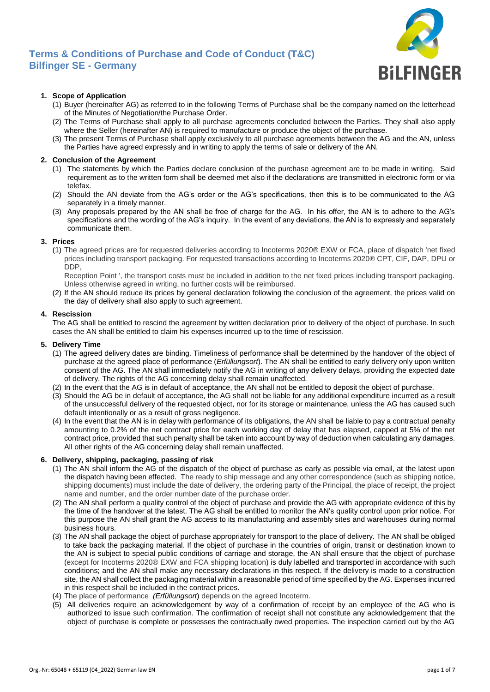

## **1. Scope of Application**

- (1) Buyer (hereinafter AG) as referred to in the following Terms of Purchase shall be the company named on the letterhead of the Minutes of Negotiation/the Purchase Order.
- (2) The Terms of Purchase shall apply to all purchase agreements concluded between the Parties. They shall also apply where the Seller (hereinafter AN) is required to manufacture or produce the object of the purchase.
- (3) The present Terms of Purchase shall apply exclusively to all purchase agreements between the AG and the AN, unless the Parties have agreed expressly and in writing to apply the terms of sale or delivery of the AN.

## **2. Conclusion of the Agreement**

- (1) The statements by which the Parties declare conclusion of the purchase agreement are to be made in writing. Said requirement as to the written form shall be deemed met also if the declarations are transmitted in electronic form or via telefax.
- (2) Should the AN deviate from the AG's order or the AG's specifications, then this is to be communicated to the AG separately in a timely manner.
- (3) Any proposals prepared by the AN shall be free of charge for the AG. In his offer, the AN is to adhere to the AG's specifications and the wording of the AG's inquiry. In the event of any deviations, the AN is to expressly and separately communicate them.

## **3. Prices**

(1) The agreed prices are for requested deliveries according to Incoterms 2020® EXW or FCA, place of dispatch 'net fixed prices including transport packaging. For requested transactions according to Incoterms 2020® CPT, CIF, DAP, DPU or DDP,

Reception Point ', the transport costs must be included in addition to the net fixed prices including transport packaging. Unless otherwise agreed in writing, no further costs will be reimbursed.

(2) If the AN should reduce its prices by general declaration following the conclusion of the agreement, the prices valid on the day of delivery shall also apply to such agreement.

#### **4. Rescission**

The AG shall be entitled to rescind the agreement by written declaration prior to delivery of the object of purchase. In such cases the AN shall be entitled to claim his expenses incurred up to the time of rescission.

#### **5. Delivery Time**

- (1) The agreed delivery dates are binding. Timeliness of performance shall be determined by the handover of the object of purchase at the agreed place of performance (*Erfüllungsort*). The AN shall be entitled to early delivery only upon written consent of the AG. The AN shall immediately notify the AG in writing of any delivery delays, providing the expected date of delivery. The rights of the AG concerning delay shall remain unaffected.
- (2) In the event that the AG is in default of acceptance, the AN shall not be entitled to deposit the object of purchase.
- (3) Should the AG be in default of acceptance, the AG shall not be liable for any additional expenditure incurred as a result of the unsuccessful delivery of the requested object, nor for its storage or maintenance, unless the AG has caused such default intentionally or as a result of gross negligence.
- (4) In the event that the AN is in delay with performance of its obligations, the AN shall be liable to pay a contractual penalty amounting to 0.2% of the net contract price for each working day of delay that has elapsed, capped at 5% of the net contract price, provided that such penalty shall be taken into account by way of deduction when calculating any damages. All other rights of the AG concerning delay shall remain unaffected.

## **6. Delivery, shipping, packaging, passing of risk**

- (1) The AN shall inform the AG of the dispatch of the object of purchase as early as possible via email, at the latest upon the dispatch having been effected. The ready to ship message and any other correspondence (such as shipping notice, shipping documents) must include the date of delivery, the ordering party of the Principal, the place of receipt, the project name and number, and the order number date of the purchase order.
- (2) The AN shall perform a quality control of the object of purchase and provide the AG with appropriate evidence of this by the time of the handover at the latest. The AG shall be entitled to monitor the AN's quality control upon prior notice. For this purpose the AN shall grant the AG access to its manufacturing and assembly sites and warehouses during normal business hours.
- (3) The AN shall package the object of purchase appropriately for transport to the place of delivery. The AN shall be obliged to take back the packaging material. If the object of purchase in the countries of origin, transit or destination known to the AN is subject to special public conditions of carriage and storage, the AN shall ensure that the object of purchase (except for Incoterms 2020® EXW and FCA shipping location) is duly labelled and transported in accordance with such conditions; and the AN shall make any necessary declarations in this respect. If the delivery is made to a construction site, the AN shall collect the packaging material within a reasonable period of time specified by the AG. Expenses incurred in this respect shall be included in the contract prices.
- (4) The place of performance *(Erfüllungsort*) depends on the agreed Incoterm.
- (5) All deliveries require an acknowledgement by way of a confirmation of receipt by an employee of the AG who is authorized to issue such confirmation. The confirmation of receipt shall not constitute any acknowledgement that the object of purchase is complete or possesses the contractually owed properties. The inspection carried out by the AG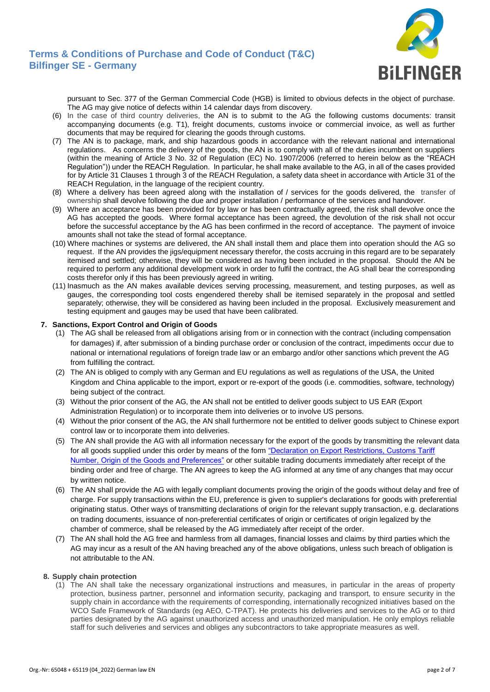

pursuant to Sec. 377 of the German Commercial Code (HGB) is limited to obvious defects in the object of purchase. The AG may give notice of defects within 14 calendar days from discovery.

- (6) In the case of third country deliveries, the AN is to submit to the AG the following customs documents: transit accompanying documents (e.g. T1), freight documents, customs invoice or commercial invoice, as well as further documents that may be required for clearing the goods through customs.
- (7) The AN is to package, mark, and ship hazardous goods in accordance with the relevant national and international regulations. As concerns the delivery of the goods, the AN is to comply with all of the duties incumbent on suppliers (within the meaning of Article 3 No. 32 of Regulation (EC) No. 1907/2006 (referred to herein below as the "REACH Regulation")) under the REACH Regulation. In particular, he shall make available to the AG, in all of the cases provided for by Article 31 Clauses 1 through 3 of the REACH Regulation, a safety data sheet in accordance with Article 31 of the REACH Regulation, in the language of the recipient country.
- (8) Where a delivery has been agreed along with the installation of / services for the goods delivered, the transfer of ownership shall devolve following the due and proper installation / performance of the services and handover.
- (9) Where an acceptance has been provided for by law or has been contractually agreed, the risk shall devolve once the AG has accepted the goods. Where formal acceptance has been agreed, the devolution of the risk shall not occur before the successful acceptance by the AG has been confirmed in the record of acceptance. The payment of invoice amounts shall not take the stead of formal acceptance.
- (10) Where machines or systems are delivered, the AN shall install them and place them into operation should the AG so request. If the AN provides the jigs/equipment necessary therefor, the costs accruing in this regard are to be separately itemised and settled; otherwise, they will be considered as having been included in the proposal. Should the AN be required to perform any additional development work in order to fulfil the contract, the AG shall bear the corresponding costs therefor only if this has been previously agreed in writing.
- (11) Inasmuch as the AN makes available devices serving processing, measurement, and testing purposes, as well as gauges, the corresponding tool costs engendered thereby shall be itemised separately in the proposal and settled separately; otherwise, they will be considered as having been included in the proposal. Exclusively measurement and testing equipment and gauges may be used that have been calibrated.

## **7. Sanctions, Export Control and Origin of Goods**

- (1) The AG shall be released from all obligations arising from or in connection with the contract (including compensation for damages) if, after submission of a binding purchase order or conclusion of the contract, impediments occur due to national or international regulations of foreign trade law or an embargo and/or other sanctions which prevent the AG from fulfilling the contract.
- (2) The AN is obliged to comply with any German and EU regulations as well as regulations of the USA, the United Kingdom and China applicable to the import, export or re-export of the goods (i.e. commodities, software, technology) being subject of the contract.
- (3) Without the prior consent of the AG, the AN shall not be entitled to deliver goods subject to US EAR (Export Administration Regulation) or to incorporate them into deliveries or to involve US persons.
- (4) Without the prior consent of the AG, the AN shall furthermore not be entitled to deliver goods subject to Chinese export control law or to incorporate them into deliveries.
- (5) The AN shall provide the AG with all information necessary for the export of the goods by transmitting the relevant data for all goods supplied under this order by means of the form "Declaration on Export Restrictions, Customs Tariff [Number, Origin of the Goods and Preferences"](https://www.bilfinger.com/fileadmin/corporate_webseite/unternehmen/einkauf/downloads/2022_Declaration_on_Export_Restrictions_EN_Logo.docx) or other suitable trading documents immediately after receipt of the binding order and free of charge. The AN agrees to keep the AG informed at any time of any changes that may occur by written notice.
- (6) The AN shall provide the AG with legally compliant documents proving the origin of the goods without delay and free of charge. For supply transactions within the EU, preference is given to supplier's declarations for goods with preferential originating status. Other ways of transmitting declarations of origin for the relevant supply transaction, e.g. declarations on trading documents, issuance of non-preferential certificates of origin or certificates of origin legalized by the chamber of commerce, shall be released by the AG immediately after receipt of the order.
- (7) The AN shall hold the AG free and harmless from all damages, financial losses and claims by third parties which the AG may incur as a result of the AN having breached any of the above obligations, unless such breach of obligation is not attributable to the AN.

## **8. Supply chain protection**

(1) The AN shall take the necessary organizational instructions and measures, in particular in the areas of property protection, business partner, personnel and information security, packaging and transport, to ensure security in the supply chain in accordance with the requirements of corresponding, internationally recognized initiatives based on the WCO Safe Framework of Standards (eg AEO, C-TPAT). He protects his deliveries and services to the AG or to third parties designated by the AG against unauthorized access and unauthorized manipulation. He only employs reliable staff for such deliveries and services and obliges any subcontractors to take appropriate measures as well.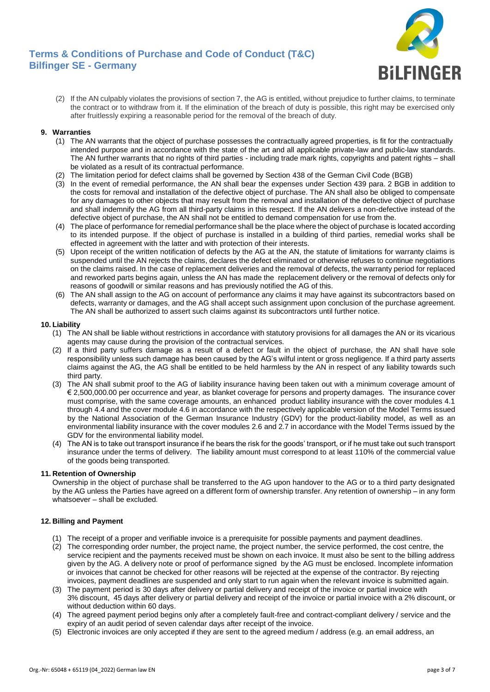

(2) If the AN culpably violates the provisions of section 7, the AG is entitled, without prejudice to further claims, to terminate the contract or to withdraw from it. If the elimination of the breach of duty is possible, this right may be exercised only after fruitlessly expiring a reasonable period for the removal of the breach of duty.

## **9. Warranties**

- (1) The AN warrants that the object of purchase possesses the contractually agreed properties, is fit for the contractually intended purpose and in accordance with the state of the art and all applicable private-law and public-law standards. The AN further warrants that no rights of third parties - including trade mark rights, copyrights and patent rights – shall be violated as a result of its contractual performance.
- (2) The limitation period for defect claims shall be governed by Section 438 of the German Civil Code (BGB)
- (3) In the event of remedial performance, the AN shall bear the expenses under Section 439 para. 2 BGB in addition to the costs for removal and installation of the defective object of purchase. The AN shall also be obliged to compensate for any damages to other objects that may result from the removal and installation of the defective object of purchase and shall indemnify the AG from all third-party claims in this respect. If the AN delivers a non-defective instead of the defective object of purchase, the AN shall not be entitled to demand compensation for use from the.
- (4) The place of performance for remedial performance shall be the place where the object of purchase is located according to its intended purpose. If the object of purchase is installed in a building of third parties, remedial works shall be effected in agreement with the latter and with protection of their interests.
- (5) Upon receipt of the written notification of defects by the AG at the AN, the statute of limitations for warranty claims is suspended until the AN rejects the claims, declares the defect eliminated or otherwise refuses to continue negotiations on the claims raised. In the case of replacement deliveries and the removal of defects, the warranty period for replaced and reworked parts begins again, unless the AN has made the replacement delivery or the removal of defects only for reasons of goodwill or similar reasons and has previously notified the AG of this.
- (6) The AN shall assign to the AG on account of performance any claims it may have against its subcontractors based on defects, warranty or damages, and the AG shall accept such assignment upon conclusion of the purchase agreement. The AN shall be authorized to assert such claims against its subcontractors until further notice.

## **10. Liability**

- (1) The AN shall be liable without restrictions in accordance with statutory provisions for all damages the AN or its vicarious agents may cause during the provision of the contractual services.
- (2) If a third party suffers damage as a result of a defect or fault in the object of purchase, the AN shall have sole responsibility unless such damage has been caused by the AG's wilful intent or gross negligence. If a third party asserts claims against the AG, the AG shall be entitled to be held harmless by the AN in respect of any liability towards such third party.
- (3) The AN shall submit proof to the AG of liability insurance having been taken out with a minimum coverage amount of € 2,500,000.00 per occurrence and year, as blanket coverage for persons and property damages. The insurance cover must comprise, with the same coverage amounts, an enhanced product liability insurance with the cover modules 4.1 through 4.4 and the cover module 4.6 in accordance with the respectively applicable version of the Model Terms issued by the National Association of the German Insurance Industry (GDV) for the product-liability model, as well as an environmental liability insurance with the cover modules 2.6 and 2.7 in accordance with the Model Terms issued by the GDV for the environmental liability model.
- (4) The AN is to take out transport insurance if he bears the risk for the goods' transport, or if he must take out such transport insurance under the terms of delivery. The liability amount must correspond to at least 110% of the commercial value of the goods being transported.

## **11. Retention of Ownership**

Ownership in the object of purchase shall be transferred to the AG upon handover to the AG or to a third party designated by the AG unless the Parties have agreed on a different form of ownership transfer. Any retention of ownership – in any form whatsoever – shall be excluded.

## **12. Billing and Payment**

- (1) The receipt of a proper and verifiable invoice is a prerequisite for possible payments and payment deadlines.
- (2) The corresponding order number, the project name, the project number, the service performed, the cost centre, the service recipient and the payments received must be shown on each invoice. It must also be sent to the billing address given by the AG. A delivery note or proof of performance signed by the AG must be enclosed. Incomplete information or invoices that cannot be checked for other reasons will be rejected at the expense of the contractor. By rejecting invoices, payment deadlines are suspended and only start to run again when the relevant invoice is submitted again.
- (3) The payment period is 30 days after delivery or partial delivery and receipt of the invoice or partial invoice with 3% discount, 45 days after delivery or partial delivery and receipt of the invoice or partial invoice with a 2% discount, or without deduction within 60 days.
- (4) The agreed payment period begins only after a completely fault-free and contract-compliant delivery / service and the expiry of an audit period of seven calendar days after receipt of the invoice.
- (5) Electronic invoices are only accepted if they are sent to the agreed medium / address (e.g. an email address, an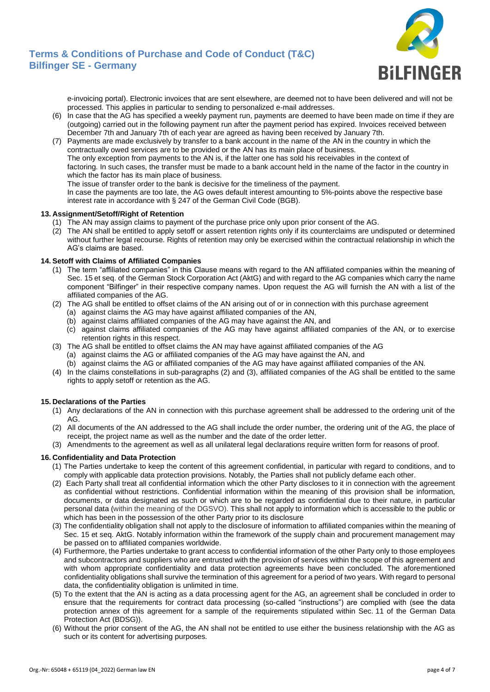

e-invoicing portal). Electronic invoices that are sent elsewhere, are deemed not to have been delivered and will not be processed. This applies in particular to sending to personalized e-mail addresses.

- (6) In case that the AG has specified a weekly payment run, payments are deemed to have been made on time if they are (outgoing) carried out in the following payment run after the payment period has expired. Invoices received between December 7th and January 7th of each year are agreed as having been received by January 7th.
- (7) Payments are made exclusively by transfer to a bank account in the name of the AN in the country in which the contractually owed services are to be provided or the AN has its main place of business. The only exception from payments to the AN is, if the latter one has sold his receivables in the context of

factoring. In such cases, the transfer must be made to a bank account held in the name of the factor in the country in which the factor has its main place of business.

The issue of transfer order to the bank is decisive for the timeliness of the payment.

In case the payments are too late, the AG owes default interest amounting to 5%-points above the respective base interest rate in accordance with § 247 of the German Civil Code (BGB).

## **13. Assignment/Setoff/Right of Retention**

- (1) The AN may assign claims to payment of the purchase price only upon prior consent of the AG.
- (2) The AN shall be entitled to apply setoff or assert retention rights only if its counterclaims are undisputed or determined without further legal recourse. Rights of retention may only be exercised within the contractual relationship in which the AG's claims are based.

## **14. Setoff with Claims of Affiliated Companies**

- (1) The term "affiliated companies" in this Clause means with regard to the AN affiliated companies within the meaning of Sec. 15 et seq. of the German Stock Corporation Act (AktG) and with regard to the AG companies which carry the name component "Bilfinger" in their respective company names. Upon request the AG will furnish the AN with a list of the affiliated companies of the AG.
- (2) The AG shall be entitled to offset claims of the AN arising out of or in connection with this purchase agreement
	- (a) against claims the AG may have against affiliated companies of the AN,
	- (b) against claims affiliated companies of the AG may have against the AN, and
	- (c) against claims affiliated companies of the AG may have against affiliated companies of the AN, or to exercise retention rights in this respect.
- (3) The AG shall be entitled to offset claims the AN may have against affiliated companies of the AG (a) against claims the AG or affiliated companies of the AG may have against the AN, and
	- (b) against claims the AG or affiliated companies of the AG may have against affiliated companies of the AN.
- (4) In the claims constellations in sub-paragraphs (2) and (3), affiliated companies of the AG shall be entitled to the same rights to apply setoff or retention as the AG.

## **15. Declarations of the Parties**

- (1) Any declarations of the AN in connection with this purchase agreement shall be addressed to the ordering unit of the AG.
- (2) All documents of the AN addressed to the AG shall include the order number, the ordering unit of the AG, the place of receipt, the project name as well as the number and the date of the order letter.
- (3) Amendments to the agreement as well as all unilateral legal declarations require written form for reasons of proof.

## **16. Confidentiality and Data Protection**

- (1) The Parties undertake to keep the content of this agreement confidential, in particular with regard to conditions, and to comply with applicable data protection provisions. Notably, the Parties shall not publicly defame each other.
- (2) Each Party shall treat all confidential information which the other Party discloses to it in connection with the agreement as confidential without restrictions. Confidential information within the meaning of this provision shall be information, documents, or data designated as such or which are to be regarded as confidential due to their nature, in particular personal data (within the meaning of the DGSVO). This shall not apply to information which is accessible to the public or which has been in the possession of the other Party prior to its disclosure
- (3) The confidentiality obligation shall not apply to the disclosure of information to affiliated companies within the meaning of Sec. 15 et seq. AktG. Notably information within the framework of the supply chain and procurement management may be passed on to affiliated companies worldwide.
- (4) Furthermore, the Parties undertake to grant access to confidential information of the other Party only to those employees and subcontractors and suppliers who are entrusted with the provision of services within the scope of this agreement and with whom appropriate confidentiality and data protection agreements have been concluded. The aforementioned confidentiality obligations shall survive the termination of this agreement for a period of two years. With regard to personal data, the confidentiality obligation is unlimited in time.
- (5) To the extent that the AN is acting as a data processing agent for the AG, an agreement shall be concluded in order to ensure that the requirements for contract data processing (so-called "instructions") are complied with (see the data protection annex of this agreement for a sample of the requirements stipulated within Sec. 11 of the German Data Protection Act (BDSG)).
- (6) Without the prior consent of the AG, the AN shall not be entitled to use either the business relationship with the AG as such or its content for advertising purposes.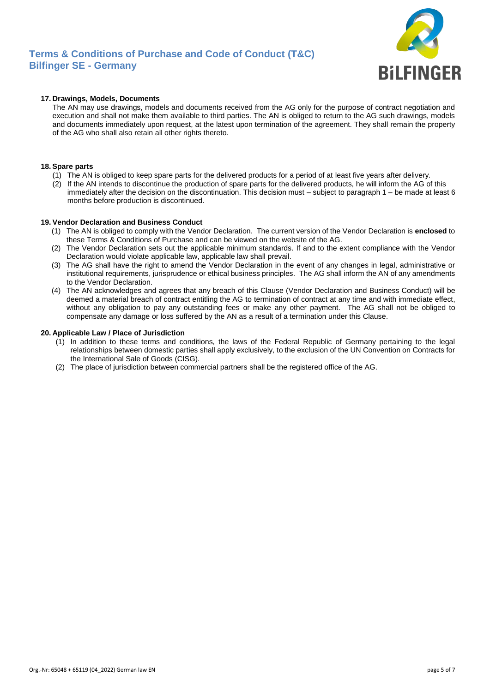

## **17. Drawings, Models, Documents**

The AN may use drawings, models and documents received from the AG only for the purpose of contract negotiation and execution and shall not make them available to third parties. The AN is obliged to return to the AG such drawings, models and documents immediately upon request, at the latest upon termination of the agreement. They shall remain the property of the AG who shall also retain all other rights thereto.

## **18.Spare parts**

- (1) The AN is obliged to keep spare parts for the delivered products for a period of at least five years after delivery.
- (2) If the AN intends to discontinue the production of spare parts for the delivered products, he will inform the AG of this immediately after the decision on the discontinuation. This decision must – subject to paragraph 1 – be made at least 6 months before production is discontinued.

## **19. Vendor Declaration and Business Conduct**

- (1) The AN is obliged to comply with the Vendor Declaration. The current version of the Vendor Declaration is **enclosed** to these Terms & Conditions of Purchase and can be viewed on the website of the AG.
- (2) The Vendor Declaration sets out the applicable minimum standards. If and to the extent compliance with the Vendor Declaration would violate applicable law, applicable law shall prevail.
- (3) The AG shall have the right to amend the Vendor Declaration in the event of any changes in legal, administrative or institutional requirements, jurisprudence or ethical business principles. The AG shall inform the AN of any amendments to the Vendor Declaration.
- (4) The AN acknowledges and agrees that any breach of this Clause (Vendor Declaration and Business Conduct) will be deemed a material breach of contract entitling the AG to termination of contract at any time and with immediate effect, without any obligation to pay any outstanding fees or make any other payment. The AG shall not be obliged to compensate any damage or loss suffered by the AN as a result of a termination under this Clause.

#### **20. Applicable Law / Place of Jurisdiction**

- (1) In addition to these terms and conditions, the laws of the Federal Republic of Germany pertaining to the legal relationships between domestic parties shall apply exclusively, to the exclusion of the UN Convention on Contracts for the International Sale of Goods (CISG).
- (2) The place of jurisdiction between commercial partners shall be the registered office of the AG.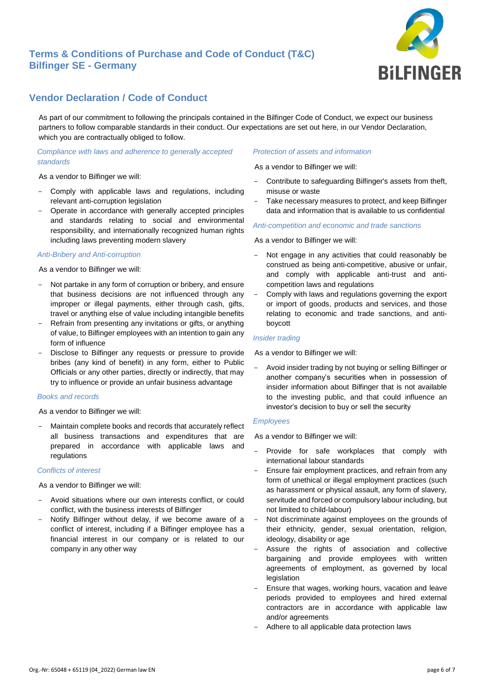

## **Vendor Declaration / Code of Conduct**

As part of our commitment to following the principals contained in the Bilfinger Code of Conduct, we expect our business partners to follow comparable standards in their conduct. Our expectations are set out here, in our Vendor Declaration, which you are contractually obliged to follow.

## *Compliance with laws and adherence to generally accepted standards*

As a vendor to Bilfinger we will:

- Comply with applicable laws and regulations, including relevant anti-corruption legislation
- Operate in accordance with generally accepted principles and standards relating to social and environmental responsibility, and internationally recognized human rights including laws preventing modern slavery

## *Anti-Bribery and Anti-corruption*

As a vendor to Bilfinger we will:

- Not partake in any form of corruption or bribery, and ensure that business decisions are not influenced through any improper or illegal payments, either through cash, gifts, travel or anything else of value including intangible benefits
- Refrain from presenting any invitations or gifts, or anything of value, to Bilfinger employees with an intention to gain any form of influence
- Disclose to Bilfinger any requests or pressure to provide bribes (any kind of benefit) in any form, either to Public Officials or any other parties, directly or indirectly, that may try to influence or provide an unfair business advantage

## *Books and records*

As a vendor to Bilfinger we will:

Maintain complete books and records that accurately reflect all business transactions and expenditures that are prepared in accordance with applicable laws and regulations

## *Conflicts of interest*

As a vendor to Bilfinger we will:

- Avoid situations where our own interests conflict, or could conflict, with the business interests of Bilfinger
- Notify Bilfinger without delay, if we become aware of a conflict of interest, including if a Bilfinger employee has a financial interest in our company or is related to our company in any other way

## *Protection of assets and information*

As a vendor to Bilfinger we will:

- Contribute to safeguarding Bilfinger's assets from theft, misuse or waste
- Take necessary measures to protect, and keep Bilfinger data and information that is available to us confidential

#### *Anti-competition and economic and trade sanctions*

As a vendor to Bilfinger we will:

- Not engage in any activities that could reasonably be construed as being anti-competitive, abusive or unfair, and comply with applicable anti-trust and anticompetition laws and regulations
- Comply with laws and regulations governing the export or import of goods, products and services, and those relating to economic and trade sanctions, and antiboycott

#### *Insider trading*

As a vendor to Bilfinger we will:

Avoid insider trading by not buying or selling Bilfinger or another company's securities when in possession of insider information about Bilfinger that is not available to the investing public, and that could influence an investor's decision to buy or sell the security

## *Employees*

As a vendor to Bilfinger we will:

- Provide for safe workplaces that comply with international labour standards
- Ensure fair employment practices, and refrain from any form of unethical or illegal employment practices (such as harassment or physical assault, any form of slavery, servitude and forced or compulsory labour including, but not limited to child-labour)
- Not discriminate against employees on the grounds of their ethnicity, gender, sexual orientation, religion, ideology, disability or age
- Assure the rights of association and collective bargaining and provide employees with written agreements of employment, as governed by local legislation
- Ensure that wages, working hours, vacation and leave periods provided to employees and hired external contractors are in accordance with applicable law and/or agreements
- Adhere to all applicable data protection laws